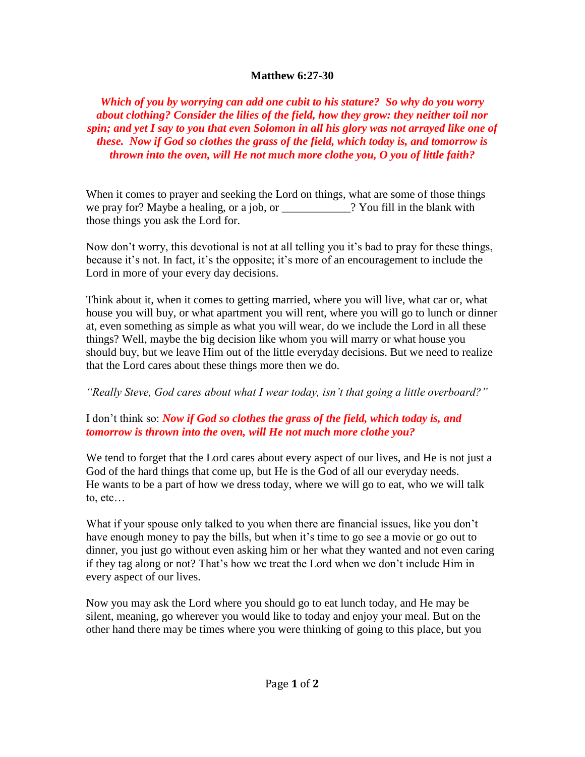## **Matthew 6:27-30**

*Which of you by worrying can add one cubit to his stature? So why do you worry about clothing? Consider the lilies of the field, how they grow: they neither toil nor spin; and yet I say to you that even Solomon in all his glory was not arrayed like one of these. Now if God so clothes the grass of the field, which today is, and tomorrow is thrown into the oven, will He not much more clothe you, O you of little faith?*

When it comes to prayer and seeking the Lord on things, what are some of those things we pray for? Maybe a healing, or a job, or \_\_\_\_\_\_\_\_\_\_\_\_? You fill in the blank with those things you ask the Lord for.

Now don't worry, this devotional is not at all telling you it's bad to pray for these things, because it's not. In fact, it's the opposite; it's more of an encouragement to include the Lord in more of your every day decisions.

Think about it, when it comes to getting married, where you will live, what car or, what house you will buy, or what apartment you will rent, where you will go to lunch or dinner at, even something as simple as what you will wear, do we include the Lord in all these things? Well, maybe the big decision like whom you will marry or what house you should buy, but we leave Him out of the little everyday decisions. But we need to realize that the Lord cares about these things more then we do.

*"Really Steve, God cares about what I wear today, isn't that going a little overboard?"*

## I don't think so: *Now if God so clothes the grass of the field, which today is, and tomorrow is thrown into the oven, will He not much more clothe you?*

We tend to forget that the Lord cares about every aspect of our lives, and He is not just a God of the hard things that come up, but He is the God of all our everyday needs. He wants to be a part of how we dress today, where we will go to eat, who we will talk to, etc…

What if your spouse only talked to you when there are financial issues, like you don't have enough money to pay the bills, but when it's time to go see a movie or go out to dinner, you just go without even asking him or her what they wanted and not even caring if they tag along or not? That's how we treat the Lord when we don't include Him in every aspect of our lives.

Now you may ask the Lord where you should go to eat lunch today, and He may be silent, meaning, go wherever you would like to today and enjoy your meal. But on the other hand there may be times where you were thinking of going to this place, but you